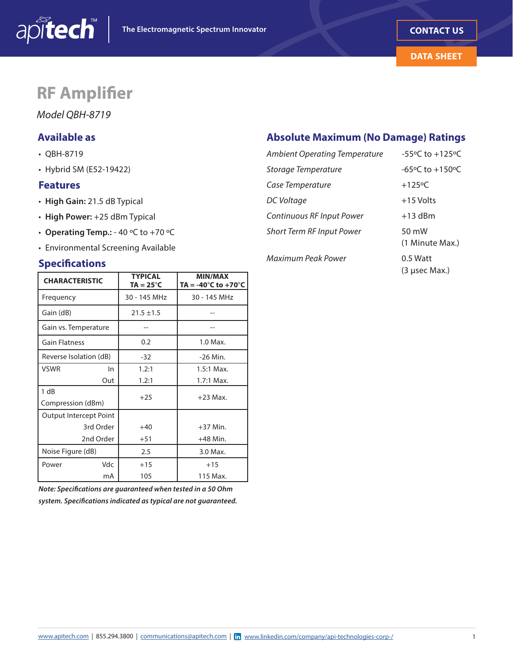

## **RF Amplifier**

*Model QBH-8719*

### **Available as**

- QBH-8719
- Hybrid SM (E52-19422)

#### **Features**

- **High Gain:** 21.5 dB Typical
- **High Power:** +25 dBm Typical
- **Operating Temp.:** 40 ºC to +70 ºC
- Environmental Screening Available

#### **Specifcations**

| <b>CHARACTERISTIC</b>     | <b>TYPICAL</b><br>$TA = 25^{\circ}C$ | <b>MIN/MAX</b><br>TA = -40°C to +70°C |  |  |
|---------------------------|--------------------------------------|---------------------------------------|--|--|
| Frequency                 | 30 - 145 MHz                         | 30 - 145 MHz                          |  |  |
| Gain (dB)                 | $21.5 \pm 1.5$                       |                                       |  |  |
| Gain vs. Temperature      |                                      |                                       |  |  |
| <b>Gain Flatness</b>      | 0.2                                  | 1.0 Max.                              |  |  |
| Reverse Isolation (dB)    | $-32$                                | $-26$ Min.                            |  |  |
| <b>VSWR</b><br>In.        | 1.2:1                                | $1.5:1$ Max.                          |  |  |
| Out                       | 1.2:1                                | $1.7:1$ Max.                          |  |  |
| 1 dB<br>Compression (dBm) | $+25$                                | $+23$ Max.                            |  |  |
| Output Intercept Point    |                                      |                                       |  |  |
| 3rd Order                 | $+40$                                | $+37$ Min.                            |  |  |
| 2nd Order                 | $+51$                                | $+48$ Min.                            |  |  |
| Noise Figure (dB)         | 2.5                                  | 3.0 Max.                              |  |  |
| Vdc<br>Power              | $+15$                                | $+15$                                 |  |  |
| mA                        | 105                                  | 115 Max.                              |  |  |

*Note: Specifcations are guaranteed when tested in a 50 Ohm system. Specifcations indicated as typical are not guaranteed.* 

### **Absolute Maximum (No Damage) Ratings**

| <b>Ambient Operating Temperature</b> | -55°C to +125°C          |
|--------------------------------------|--------------------------|
| Storage Temperature                  | -65°C to $+150$ °C       |
| Case Temperature                     | $+125$ °C                |
| DC Voltage                           | $+15$ Volts              |
| Continuous RF Input Power            | $+13$ dBm                |
| <b>Short Term RF Input Power</b>     | 50 mW<br>(1 Minute Max.) |
| Maximum Peak Power                   | 0.5 Watt                 |

(3 µsec Max.)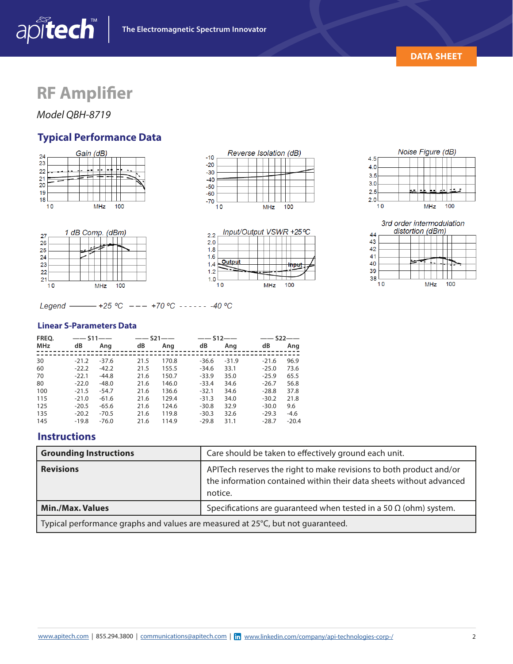

 $2.0$ 1.8 1.6 1.4 1.2  $1.0$   $-$  10

# **RF Amplifier**

*Model QBH-8719*

apitech

## **Typical Performance Data**





Input/Output VSWR +25 °C

**Output** *Input* 

| I<mark>nput</mark><br>|-





27 26 25 24 23 22  $21\frac{1}{10}$ 1 dB Comp. (dBm) 2.2 . . . . . .  $\mathbb{R}$ 10 MHz 100 10 10 MHz 100

Legend - +25 °C --- +70 °C ----- - -40 °C

#### **Linear S-Parameters Data**

| FREO. | $--$ S11 $--$ |         |      | $--$ S21-- |         | $--$ S12-- |         | $--$ S22--- |  |
|-------|---------------|---------|------|------------|---------|------------|---------|-------------|--|
| MHz   | dB            | Ang     | dB   | Ang        | dB      | Ang        | dB      | Ang         |  |
| 30    | $-21.2$       | $-37.6$ | 21.5 | 170.8      | $-36.6$ | $-31.9$    | $-21.6$ | 96.9        |  |
| 60    | $-22.2$       | $-42.2$ | 21.5 | 155.5      | $-34.6$ | 33.1       | $-25.0$ | 73.6        |  |
| 70    | $-22.1$       | $-44.8$ | 21.6 | 150.7      | $-33.9$ | 35.0       | $-25.9$ | 65.5        |  |
| 80    | $-22.0$       | $-48.0$ | 21.6 | 146.0      | $-33.4$ | 34.6       | $-26.7$ | 56.8        |  |
| 100   | $-21.5$       | $-54.7$ | 21.6 | 136.6      | $-32.1$ | 34.6       | $-28.8$ | 37.8        |  |
| 115   | $-21.0$       | $-61.6$ | 21.6 | 129.4      | $-31.3$ | 34.0       | $-30.2$ | 21.8        |  |
| 125   | $-20.5$       | $-65.6$ | 21.6 | 124.6      | $-30.8$ | 32.9       | $-30.0$ | 9.6         |  |
| 135   | $-20.2$       | $-70.5$ | 21.6 | 119.8      | $-30.3$ | 32.6       | $-29.3$ | $-4.6$      |  |
| 145   | $-19.8$       | $-76.0$ | 21.6 | 114.9      | $-29.8$ | 31.1       | $-28.7$ | $-20.4$     |  |

### **Instructions**

| <b>Grounding Instructions</b>                                                   | Care should be taken to effectively ground each unit.                                                                                                 |  |
|---------------------------------------------------------------------------------|-------------------------------------------------------------------------------------------------------------------------------------------------------|--|
| <b>Revisions</b>                                                                | APITech reserves the right to make revisions to both product and/or<br>the information contained within their data sheets without advanced<br>notice. |  |
| <b>Min./Max. Values</b>                                                         | Specifications are quaranteed when tested in a 50 $\Omega$ (ohm) system.                                                                              |  |
| Typical performance graphs and values are measured at 25°C, but not guaranteed. |                                                                                                                                                       |  |